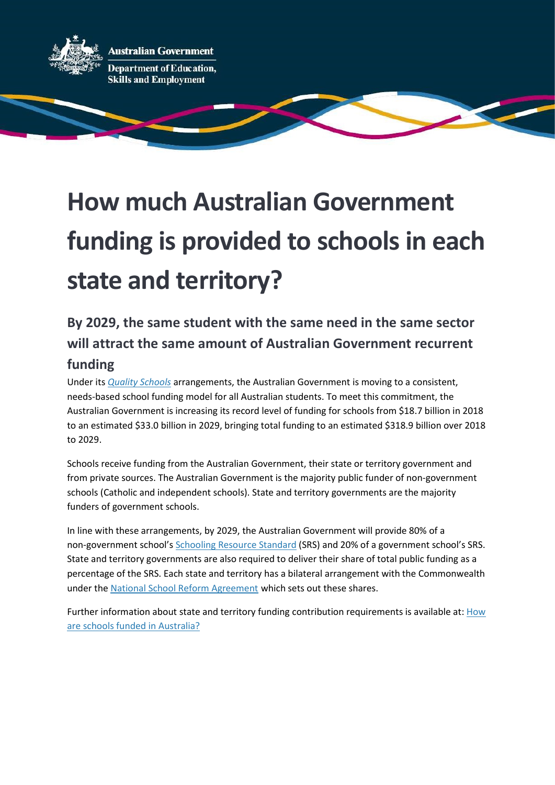

# How much Australian Government funding is provided to schools in each state and territory?

# By 2029, the same student with the same need in the same sector will attract the same amount of Australian Government recurrent funding

Under its *Quality Schools* arrangements, the Australian Government is moving to a consistent, needs-based school funding model for all Australian students. To meet this commitment, the Australian Government is increasing its record level of funding for schools from \$18.7 billion in 2018 to an estimated \$33.0 billion in 2029, bringing total funding to an estimated \$318.9 billion over 2018 to 2029.

Schools receive funding from the Australian Government, their state or territory government and from private sources. The Australian Government is the majority public funder of non-government schools (Catholic and independent schools). State and territory governments are the majority funders of government schools.

In line with these arrangements, by 2029, the Australian Government will provide 80% of a non-government school's Schooling Resource Standard (SRS) and 20% of a government school's SRS. State and territory governments are also required to deliver their share of total public funding as a percentage of the SRS. Each state and territory has a bilateral arrangement with the Commonwealth under the National School Reform Agreement which sets out these shares.

Further information about state and territory funding contribution requirements is available at: How are schools funded in Australia?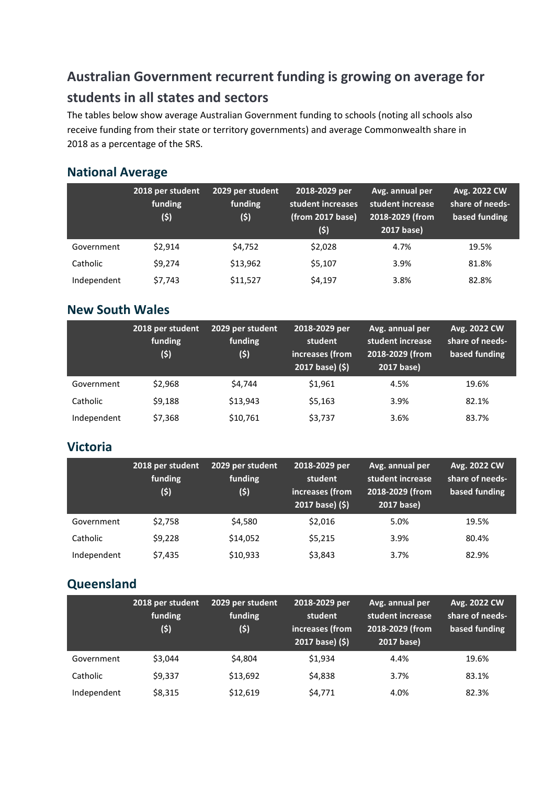# Australian Government recurrent funding is growing on average for students in all states and sectors

The tables below show average Australian Government funding to schools (noting all schools also receive funding from their state or territory governments) and average Commonwealth share in 2018 as a percentage of the SRS.

#### National Average

|             | 2018 per student<br>funding<br>(5) | 2029 per student<br>funding<br>(\$) | 2018-2029 per<br>student increases<br>(from 2017 base)<br>(5) | Avg. annual per<br>student increase<br>2018-2029 (from<br>2017 base) | Avg. 2022 CW<br>share of needs-<br>based funding |
|-------------|------------------------------------|-------------------------------------|---------------------------------------------------------------|----------------------------------------------------------------------|--------------------------------------------------|
| Government  | \$2,914                            | \$4,752                             | \$2,028                                                       | 4.7%                                                                 | 19.5%                                            |
| Catholic    | \$9,274                            | \$13,962                            | \$5,107                                                       | 3.9%                                                                 | 81.8%                                            |
| Independent | \$7,743                            | \$11,527                            | \$4,197                                                       | 3.8%                                                                 | 82.8%                                            |

#### New South Wales

|             | 2018 per student<br>funding<br>(5) | 2029 per student<br>funding<br>(5) | 2018-2029 per<br>student<br>increases (from<br>2017 base) (\$) | Avg. annual per<br>student increase<br>2018-2029 (from<br>2017 base) | Avg. 2022 CW<br>share of needs-<br>based funding |
|-------------|------------------------------------|------------------------------------|----------------------------------------------------------------|----------------------------------------------------------------------|--------------------------------------------------|
| Government  | \$2.968                            | \$4,744                            | \$1,961                                                        | 4.5%                                                                 | 19.6%                                            |
| Catholic    | \$9,188                            | \$13.943                           | \$5,163                                                        | 3.9%                                                                 | 82.1%                                            |
| Independent | \$7,368                            | \$10,761                           | \$3,737                                                        | 3.6%                                                                 | 83.7%                                            |

#### Victoria

|             | 2018 per student<br>funding<br>(5) | 2029 per student<br>funding<br>(5) | 2018-2029 per<br>student<br>increases (from<br>2017 base) (\$) | Avg. annual per<br>student increase<br>2018-2029 (from<br>2017 base) | Avg. 2022 CW<br>share of needs-<br>based funding |
|-------------|------------------------------------|------------------------------------|----------------------------------------------------------------|----------------------------------------------------------------------|--------------------------------------------------|
| Government  | \$2,758                            | \$4,580                            | \$2,016                                                        | 5.0%                                                                 | 19.5%                                            |
| Catholic    | \$9,228                            | \$14,052                           | \$5,215                                                        | 3.9%                                                                 | 80.4%                                            |
| Independent | \$7,435                            | \$10,933                           | \$3,843                                                        | 3.7%                                                                 | 82.9%                                            |

### Queensland

|             | 2018 per student<br>funding<br>(\$) | 2029 per student<br>funding<br>(\$) | 2018-2029 per<br>student<br>increases (from<br>2017 base) (\$) | Avg. annual per<br>student increase<br>2018-2029 (from<br>2017 base) | Avg. 2022 CW<br>share of needs-<br>based funding |
|-------------|-------------------------------------|-------------------------------------|----------------------------------------------------------------|----------------------------------------------------------------------|--------------------------------------------------|
| Government  | \$3.044                             | \$4,804                             | \$1,934                                                        | 4.4%                                                                 | 19.6%                                            |
| Catholic    | \$9,337                             | \$13,692                            | \$4,838                                                        | 3.7%                                                                 | 83.1%                                            |
| Independent | \$8,315                             | \$12,619                            | \$4,771                                                        | 4.0%                                                                 | 82.3%                                            |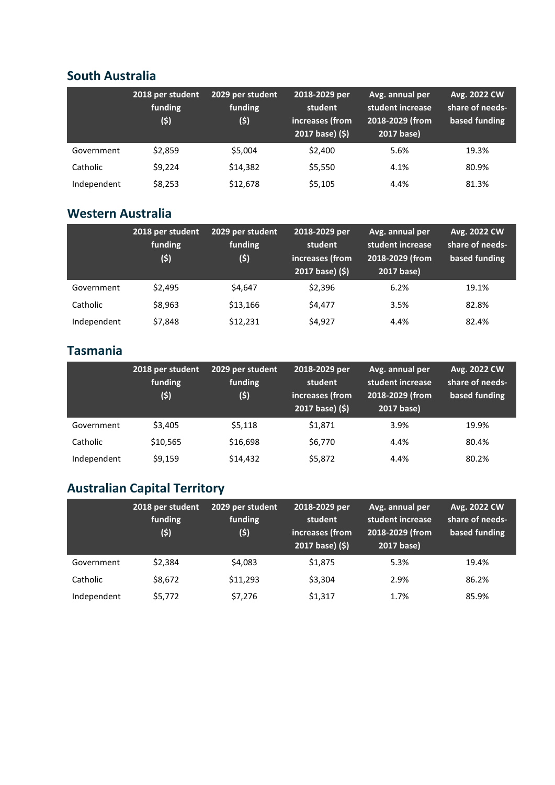#### South Australia

|             | 2018 per student<br>funding<br>(\$) | 2029 per student<br>funding<br>(\$) | 2018-2029 per<br>student<br>increases (from<br>2017 base) (\$) | Avg. annual per<br>student increase<br>2018-2029 (from<br>2017 base) | Avg. 2022 CW<br>share of needs-<br>based funding |
|-------------|-------------------------------------|-------------------------------------|----------------------------------------------------------------|----------------------------------------------------------------------|--------------------------------------------------|
| Government  | \$2,859                             | \$5,004                             | \$2,400                                                        | 5.6%                                                                 | 19.3%                                            |
| Catholic    | \$9,224                             | \$14,382                            | \$5,550                                                        | 4.1%                                                                 | 80.9%                                            |
| Independent | \$8,253                             | \$12,678                            | \$5,105                                                        | 4.4%                                                                 | 81.3%                                            |

## Western Australia

|             | 2018 per student<br>funding<br>(\$) | 2029 per student<br>funding<br>(5) | 2018-2029 per<br>student<br>increases (from<br>2017 base) (\$) | Avg. annual per<br>student increase<br>2018-2029 (from<br>2017 base) | Avg. 2022 CW<br>share of needs-<br>based funding |
|-------------|-------------------------------------|------------------------------------|----------------------------------------------------------------|----------------------------------------------------------------------|--------------------------------------------------|
| Government  | \$2.495                             | \$4,647                            | \$2,396                                                        | 6.2%                                                                 | 19.1%                                            |
| Catholic    | \$8,963                             | \$13,166                           | \$4,477                                                        | 3.5%                                                                 | 82.8%                                            |
| Independent | \$7,848                             | \$12,231                           | \$4,927                                                        | 4.4%                                                                 | 82.4%                                            |

## Tasmania

|             | 2018 per student<br>funding<br>(5) | 2029 per student<br>funding<br>(5) | 2018-2029 per<br>student<br>increases (from<br>2017 base) (\$) | Avg. annual per<br>student increase<br>2018-2029 (from<br>2017 base) | Avg. 2022 CW<br>share of needs-<br>based funding |
|-------------|------------------------------------|------------------------------------|----------------------------------------------------------------|----------------------------------------------------------------------|--------------------------------------------------|
| Government  | \$3,405                            | \$5,118                            | \$1,871                                                        | 3.9%                                                                 | 19.9%                                            |
| Catholic    | \$10,565                           | \$16,698                           | \$6,770                                                        | 4.4%                                                                 | 80.4%                                            |
| Independent | \$9,159                            | \$14,432                           | \$5,872                                                        | 4.4%                                                                 | 80.2%                                            |

# Australian Capital Territory

|             | 2018 per student<br>funding<br>(5) | 2029 per student<br>funding<br>(5) | 2018-2029 per<br>student<br>increases (from<br>2017 base) (\$) | Avg. annual per<br>student increase<br>2018-2029 (from<br>2017 base) | Avg. 2022 CW<br>share of needs-<br>based funding |
|-------------|------------------------------------|------------------------------------|----------------------------------------------------------------|----------------------------------------------------------------------|--------------------------------------------------|
| Government  | \$2.384                            | \$4,083                            | \$1,875                                                        | 5.3%                                                                 | 19.4%                                            |
| Catholic    | \$8,672                            | \$11,293                           | \$3,304                                                        | 2.9%                                                                 | 86.2%                                            |
| Independent | \$5,772                            | \$7,276                            | \$1,317                                                        | 1.7%                                                                 | 85.9%                                            |